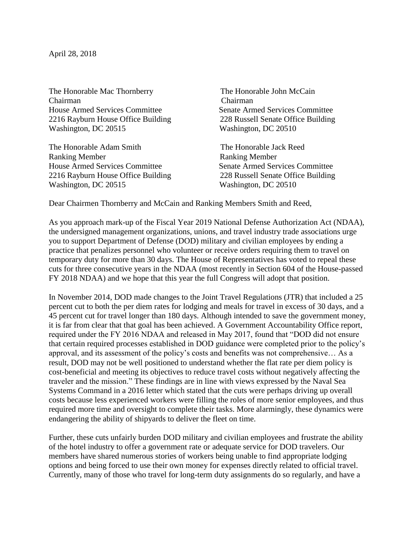April 28, 2018

The Honorable Mac Thornberry The Honorable John McCain Chairman Chairman House Armed Services Committee Senate Armed Services Committee [2216 Rayburn House Office Building 228 Russell Senate Office Building](x-apple-data-detectors://1/) [Washington, DC 20515](x-apple-data-detectors://1/) Washington, DC 20510

The Honorable Adam Smith The Honorable Jack Reed Ranking Member **Ranking Member** House Armed Services Committee Senate Armed Services Committee [2216 Rayburn House Office Building 228 Russell Senate Office Building](x-apple-data-detectors://2/) [Washington, DC 20515](x-apple-data-detectors://2/) Washington, DC 20510

Dear Chairmen Thornberry and McCain and Ranking Members Smith and Reed,

As you approach mark-up of the Fiscal Year 2019 National Defense Authorization Act (NDAA), the undersigned management organizations, unions, and travel industry trade associations urge you to support Department of Defense (DOD) military and civilian employees by ending a practice that penalizes personnel who volunteer or receive orders requiring them to travel on temporary duty for more than 30 days. The House of Representatives has voted to repeal these cuts for three consecutive years in the NDAA (most recently in Section 604 of the House-passed FY 2018 NDAA) and we hope that this year the full Congress will adopt that position.

In November 2014, DOD made changes to the Joint Travel Regulations (JTR) that included a 25 percent cut to both the per diem rates for lodging and meals for travel in excess of 30 days, and a 45 percent cut for travel longer than 180 days. Although intended to save the government money, it is far from clear that that goal has been achieved. A Government Accountability Office report, required under the FY 2016 NDAA and released in May 2017, found that "DOD did not ensure that certain required processes established in DOD guidance were completed prior to the policy's approval, and its assessment of the policy's costs and benefits was not comprehensive… As a result, DOD may not be well positioned to understand whether the flat rate per diem policy is cost-beneficial and meeting its objectives to reduce travel costs without negatively affecting the traveler and the mission." These findings are in line with views expressed by the Naval Sea Systems Command in a 2016 letter which stated that the cuts were perhaps driving up overall costs because less experienced workers were filling the roles of more senior employees, and thus required more time and oversight to complete their tasks. More alarmingly, these dynamics were endangering the ability of shipyards to deliver the fleet on time.

Further, these cuts unfairly burden DOD military and civilian employees and frustrate the ability of the hotel industry to offer a government rate or adequate service for DOD travelers. Our members have shared numerous stories of workers being unable to find appropriate lodging options and being forced to use their own money for expenses directly related to official travel. Currently, many of those who travel for long-term duty assignments do so regularly, and have a